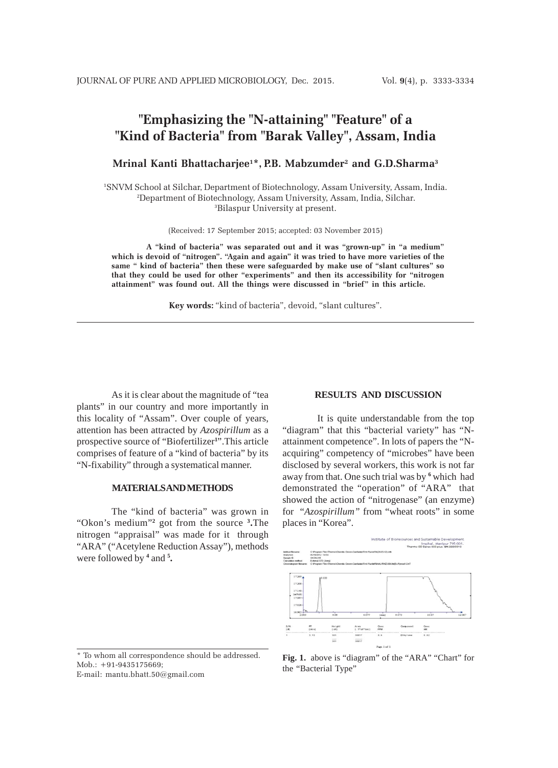# **"Emphasizing the "N-attaining" "Feature" of a "Kind of Bacteria" from "Barak Valley", Assam, India**

**Mrinal Kanti Bhattacharjee1 \*, P.B. Mabzumder2 and G.D.Sharma3**

<sup>1</sup>SNVM School at Silchar, Department of Biotechnology, Assam University, Assam, India. <sup>2</sup>Department of Biotechnology, Assam University, Assam, India, Silchar. 3 Bilaspur University at present.

(Received: 17 September 2015; accepted: 03 November 2015)

**A "kind of bacteria" was separated out and it was "grown-up" in "a medium" which is devoid of "nitrogen". "Again and again" it was tried to have more varieties of the same " kind of bacteria" then these were safeguarded by make use of "slant cultures" so that they could be used for other "experiments" and then its accessibility for "nitrogen attainment" was found out. All the things were discussed in "brief" in this article.**

**Key words:** "kind of bacteria", devoid, "slant cultures".

As it is clear about the magnitude of "tea plants" in our country and more importantly in this locality of "Assam". Over couple of years, attention has been attracted by *Azospirillum* as a prospective source of "Biofertilizer**<sup>1</sup>** ".This article comprises of feature of a "kind of bacteria" by its "N-fixability" through a systematical manner.

### **MATERIALS AND METHODS**

The "kind of bacteria" was grown in "Okon's medium"**<sup>2</sup>** got from the source **<sup>3</sup> .**The nitrogen "appraisal" was made for it through "ARA" ("Acetylene Reduction Assay"), methods were followed by <sup>4</sup> and <sup>5</sup>.

## **RESULTS AND DISCUSSION**

It is quite understandable from the top "diagram" that this "bacterial variety" has "Nattainment competence". In lots of papers the "Nacquiring" competency of "microbes" have been disclosed by several workers, this work is not far away from that. One such trial was by <sup>6</sup> which had demonstrated the "operation" of "ARA" that showed the action of "nitrogenase" (an enzyme) for "*Azospirillum"* from "wheat roots" in some places in "Korea".



\* To whom all correspondence should be addressed. Mob.: +91-9435175669; E-mail: mantu.bhatt.50@gmail.com

**Fig. 1.** above is "diagram" of the "ARA" "Chart" for the "Bacterial Type"